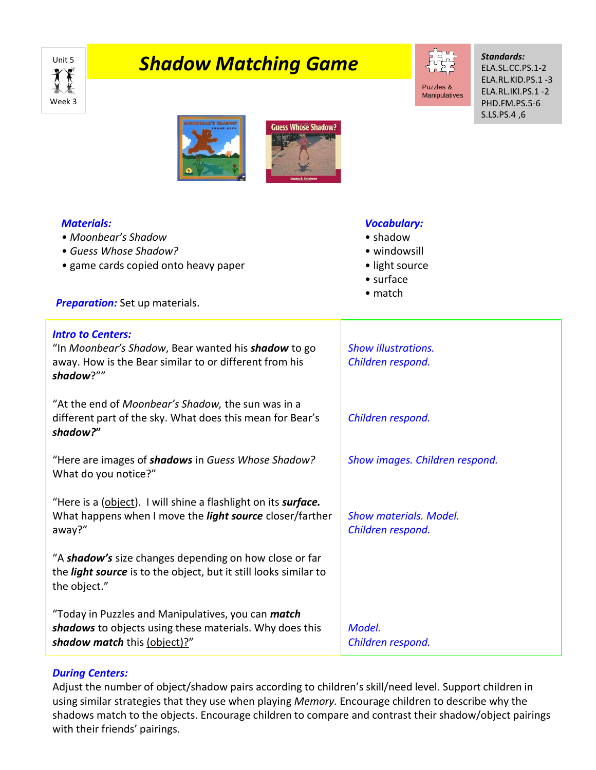

## **Shadow Matching Game** The St<mark>ep Shadow Matching Game</mark>



Manipulatives

*Standards:* ELA.SL.CC.PS.1-2 ELA.RL.KID.PS.1 -3 ELA.RL.IKI.PS.1 -2 PHD.FM.PS.5-6 S.LS.PS.4 ,6





| <b>Materials:</b><br>• Moonbear's Shadow<br>• Guess Whose Shadow?<br>• game cards copied onto heavy paper<br><b>Preparation:</b> Set up materials.            | <b>Vocabulary:</b><br>• shadow<br>· windowsill<br>• light source<br>$\bullet$ surface<br>$\bullet$ match |
|---------------------------------------------------------------------------------------------------------------------------------------------------------------|----------------------------------------------------------------------------------------------------------|
| <b>Intro to Centers:</b><br>"In Moonbear's Shadow, Bear wanted his <b>shadow</b> to go<br>away. How is the Bear similar to or different from his<br>shadow?"" | <b>Show illustrations.</b><br>Children respond.                                                          |
| "At the end of Moonbear's Shadow, the sun was in a<br>different part of the sky. What does this mean for Bear's<br>shadow?"                                   | Children respond.                                                                                        |
| "Here are images of shadows in Guess Whose Shadow?<br>What do you notice?"                                                                                    | Show images. Children respond.                                                                           |
| "Here is a (object). I will shine a flashlight on its <i>surface</i> .<br>What happens when I move the <i>light source</i> closer/farther<br>away?"           | <b>Show materials, Model.</b><br>Children respond.                                                       |
| "A shadow's size changes depending on how close or far<br>the light source is to the object, but it still looks similar to<br>the object."                    |                                                                                                          |
| "Today in Puzzles and Manipulatives, you can <i>match</i><br>shadows to objects using these materials. Why does this<br>shadow match this (object)?"          | Model.<br>Children respond.                                                                              |

## *During Centers:*

Adjust the number of object/shadow pairs according to children's skill/need level. Support children in using similar strategies that they use when playing *Memory.* Encourage children to describe why the shadows match to the objects. Encourage children to compare and contrast their shadow/object pairings with their friends' pairings.